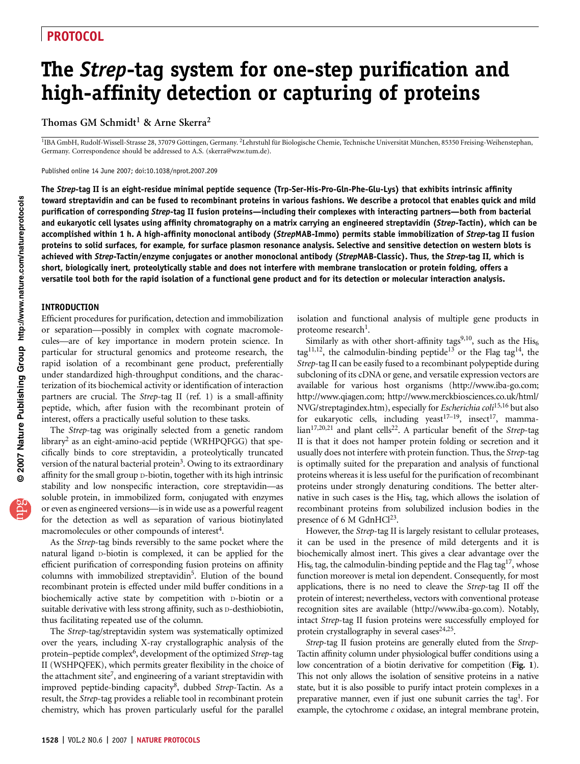# The Strep-tag system for one-step purification and high-affinity detection or capturing of proteins

Thomas GM Schmidt<sup>1</sup> & Arne Skerra<sup>2</sup>

<sup>1</sup>IBA GmbH, Rudolf-Wissell-Strasse 28, 37079 Göttingen, Germany. <sup>2</sup>Lehrstuhl für Biologische Chemie, Technische Universität München, 85350 Freising-Weihenstephan, Germany. Correspondence should be addressed to A.S. (skerra@wzw.tum.de).

Published online 14 June 2007; doi:10.1038/nprot.2007.209

The Strep-tag II is an eight-residue minimal peptide sequence (Trp-Ser-His-Pro-Gln-Phe-Glu-Lys) that exhibits intrinsic affinity toward streptavidin and can be fused to recombinant proteins in various fashions. We describe a protocol that enables quick and mild purification of corresponding Strep-tag II fusion proteins—including their complexes with interacting partners—both from bacterial and eukaryotic cell lysates using affinity chromatography on a matrix carrying an engineered streptavidin (Strep-Tactin), which can be accomplished within 1 h. A high-affinity monoclonal antibody (StrepMAB-Immo) permits stable immobilization of Strep-tag II fusion proteins to solid surfaces, for example, for surface plasmon resonance analysis. Selective and sensitive detection on western blots is achieved with Strep-Tactin/enzyme conjugates or another monoclonal antibody (StrepMAB-Classic). Thus, the Strep-tag II, which is short, biologically inert, proteolytically stable and does not interfere with membrane translocation or protein folding, offers a versatile tool both for the rapid isolation of a functional gene product and for its detection or molecular interaction analysis.

#### INTRODUCTION

Efficient procedures for purification, detection and immobilization or separation—possibly in complex with cognate macromolecules—are of key importance in modern protein science. In particular for structural genomics and proteome research, the rapid isolation of a recombinant gene product, preferentially under standardized high-throughput conditions, and the characterization of its biochemical activity or identification of interaction partners are crucial. The Strep-tag II (ref. 1) is a small-affinity peptide, which, after fusion with the recombinant protein of interest, offers a practically useful solution to these tasks.

The Strep-tag was originally selected from a genetic random library<sup>2</sup> as an eight-amino-acid peptide (WRHPQFGG) that specifically binds to core streptavidin, a proteolytically truncated version of the natural bacterial protein<sup>3</sup>. Owing to its extraordinary affinity for the small group D-biotin, together with its high intrinsic stability and low nonspecific interaction, core streptavidin—as soluble protein, in immobilized form, conjugated with enzymes or even as engineered versions—is in wide use as a powerful reagent for the detection as well as separation of various biotinylated macromolecules or other compounds of interest<sup>4</sup>.

As the Strep-tag binds reversibly to the same pocket where the natural ligand D-biotin is complexed, it can be applied for the efficient purification of corresponding fusion proteins on affinity columns with immobilized streptavidin<sup>5</sup>. Elution of the bound recombinant protein is effected under mild buffer conditions in a biochemically active state by competition with D-biotin or a suitable derivative with less strong affinity, such as D-desthiobiotin, thus facilitating repeated use of the column.

The Strep-tag/streptavidin system was systematically optimized over the years, including X-ray crystallographic analysis of the protein-peptide complex<sup>6</sup>, development of the optimized Strep-tag II (WSHPQFEK), which permits greater flexibility in the choice of the attachment site<sup>7</sup>, and engineering of a variant streptavidin with improved peptide-binding capacity<sup>8</sup>, dubbed *Strep*-Tactin. As a result, the Strep-tag provides a reliable tool in recombinant protein chemistry, which has proven particularly useful for the parallel

isolation and functional analysis of multiple gene products in proteome research<sup>1</sup>.

Similarly as with other short-affinity tags<sup>9,10</sup>, such as the His<sub>6</sub> tag<sup>11,12</sup>, the calmodulin-binding peptide<sup>13</sup> or the Flag tag<sup>14</sup>, the Strep-tag II can be easily fused to a recombinant polypeptide during subcloning of its cDNA or gene, and versatile expression vectors are available for various host organisms (http://www.iba-go.com; http://www.qiagen.com; http://www.merckbiosciences.co.uk/html/ NVG/streptagindex.htm), especially for Escherichia coli<sup>15,16</sup> but also for eukaryotic cells, including yeast<sup>17-19</sup>, insect<sup>17</sup>, mamma- $\text{lian}^{17,20,21}$  and plant cells<sup>22</sup>. A particular benefit of the Strep-tag II is that it does not hamper protein folding or secretion and it usually does not interfere with protein function. Thus, the Strep-tag is optimally suited for the preparation and analysis of functional proteins whereas it is less useful for the purification of recombinant proteins under strongly denaturing conditions. The better alternative in such cases is the His $_6$  tag, which allows the isolation of recombinant proteins from solubilized inclusion bodies in the presence of 6 M GdnHCl<sup>23</sup>.

However, the Strep-tag II is largely resistant to cellular proteases, it can be used in the presence of mild detergents and it is biochemically almost inert. This gives a clear advantage over the His<sub>6</sub> tag, the calmodulin-binding peptide and the Flag tag<sup>17</sup>, whose function moreover is metal ion dependent. Consequently, for most applications, there is no need to cleave the Strep-tag II off the protein of interest; nevertheless, vectors with conventional protease recognition sites are available (http://www.iba-go.com). Notably, intact Strep-tag II fusion proteins were successfully employed for protein crystallography in several cases<sup>24,25</sup>.

Strep-tag II fusion proteins are generally eluted from the Strep-Tactin affinity column under physiological buffer conditions using a low concentration of a biotin derivative for competition (Fig. 1). This not only allows the isolation of sensitive proteins in a native state, but it is also possible to purify intact protein complexes in a preparative manner, even if just one subunit carries the tag<sup>1</sup>. For example, the cytochrome  $c$  oxidase, an integral membrane protein,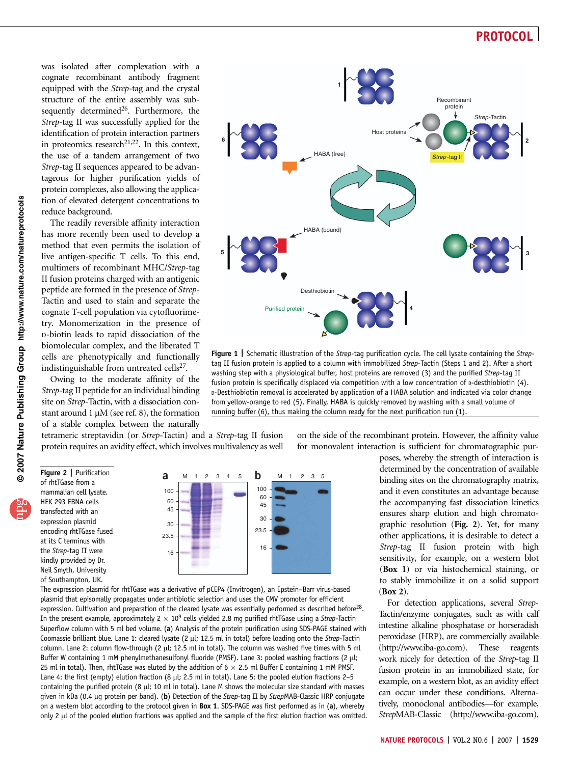was isolated after complexation with a cognate recombinant antibody fragment equipped with the Strep-tag and the crystal structure of the entire assembly was subsequently determined<sup>26</sup>. Furthermore, the Strep-tag II was successfully applied for the identification of protein interaction partners in proteomics research<sup>21,22</sup>. In this context, the use of a tandem arrangement of two Strep-tag II sequences appeared to be advantageous for higher purification yields of protein complexes, also allowing the application of elevated detergent concentrations to reduce background.

The readily reversible affinity interaction has more recently been used to develop a method that even permits the isolation of live antigen-specific T cells. To this end, multimers of recombinant MHC/Strep-tag II fusion proteins charged with an antigenic peptide are formed in the presence of Strep-Tactin and used to stain and separate the cognate T-cell population via cytofluorimetry. Monomerization in the presence of D-biotin leads to rapid dissociation of the biomolecular complex, and the liberated T cells are phenotypically and functionally indistinguishable from untreated cells $27$ .

Owing to the moderate affinity of the Strep-tag II peptide for an individual binding site on Strep-Tactin, with a dissociation constant around  $1 \mu M$  (see ref. 8), the formation of a stable complex between the naturally



Figure 1 | Schematic illustration of the Strep-tag purification cycle. The cell lysate containing the Streptag II fusion protein is applied to a column with immobilized Strep-Tactin (Steps 1 and 2). After a short washing step with a physiological buffer, host proteins are removed (3) and the purified Strep-tag II fusion protein is specifically displaced via competition with a low concentration of p-desthiobiotin (4). D-Desthiobiotin removal is accelerated by application of a HABA solution and indicated via color change from yellow-orange to red (5). Finally, HABA is quickly removed by washing with a small volume of running buffer (6), thus making the column ready for the next purification run (1).

tetrameric streptavidin (or Strep-Tactin) and a Strep-tag II fusion protein requires an avidity effect, which involves multivalency as well

Figure 2 | Purification of rhtTGase from a mammalian cell lysate. HEK 293 EBNA cells transfected with an expression plasmid encoding rhtTGase fused at its C terminus with the Strep-tag II were kindly provided by Dr. Neil Smyth, University of Southampton, UK.



The expression plasmid for rhtTGase was a derivative of pCEP4 (Invitrogen), an Epstein–Barr virus-based plasmid that episomally propagates under antibiotic selection and uses the CMV promoter for efficient expression. Cultivation and preparation of the cleared lysate was essentially performed as described before<sup>28</sup>. In the present example, approximately  $2 \times 10^9$  cells yielded 2.8 mg purified rhtTGase using a Strep-Tactin Superflow column with 5 ml bed volume. (a) Analysis of the protein purification using SDS-PAGE stained with Coomassie brilliant blue. Lane 1: cleared lysate (2 µl; 12.5 ml in total) before loading onto the Strep-Tactin column. Lane 2: column flow-through  $(2 \mu)$ ; 12.5 ml in total). The column was washed five times with 5 ml Buffer W containing 1 mM phenylmethanesulfonyl fluoride (PMSF). Lane 3: pooled washing fractions (2 µl; 25 ml in total). Then, rhtTGase was eluted by the addition of  $6 \times 2.5$  ml Buffer E containing 1 mM PMSF. Lane 4: the first (empty) elution fraction (8  $\mu$ l; 2.5 ml in total). Lane 5: the pooled elution fractions 2–5 containing the purified protein (8  $\mu$ l; 10 ml in total). Lane M shows the molecular size standard with masses given in kDa (0.4 µg protein per band). (b) Detection of the Strep-tag II by StrepMAB-Classic HRP conjugate on a western blot according to the protocol given in **Box 1.** SDS-PAGE was first performed as in (a), whereby only 2 µl of the pooled elution fractions was applied and the sample of the first elution fraction was omitted.

on the side of the recombinant protein. However, the affinity value for monovalent interaction is sufficient for chromatographic pur-

> poses, whereby the strength of interaction is determined by the concentration of available binding sites on the chromatography matrix, and it even constitutes an advantage because the accompanying fast dissociation kinetics ensures sharp elution and high chromatographic resolution (Fig. 2). Yet, for many other applications, it is desirable to detect a Strep-tag II fusion protein with high sensitivity, for example, on a western blot (Box 1) or via histochemical staining, or to stably immobilize it on a solid support (Box 2).

> For detection applications, several Strep-Tactin/enzyme conjugates, such as with calf intestine alkaline phosphatase or horseradish peroxidase (HRP), are commercially available (http://www.iba-go.com). These reagents work nicely for detection of the Strep-tag II fusion protein in an immobilized state, for example, on a western blot, as an avidity effect can occur under these conditions. Alternatively, monoclonal antibodies—for example, StrepMAB-Classic (http://www.iba-go.com),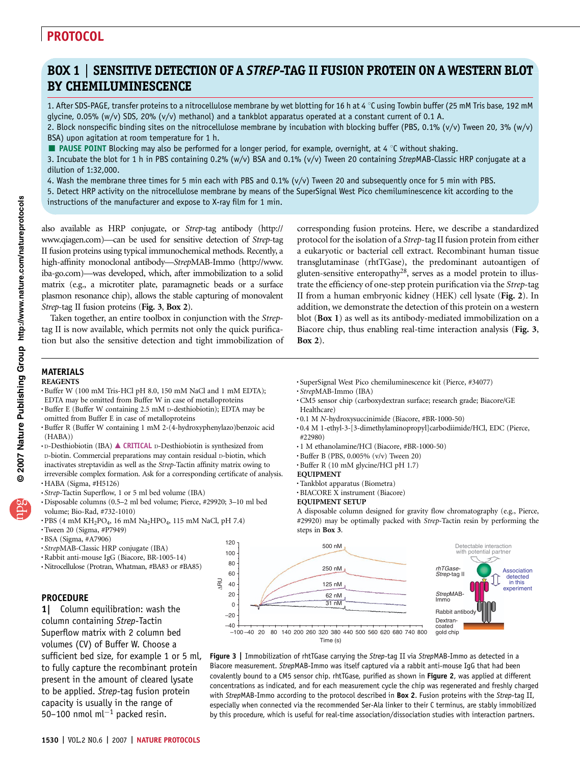### BOX 1 | SENSITIVE DETECTION OF A STREP-TAG II FUSION PROTEIN ON A WESTERN BLOT BY CHEMILUMINESCENCE

1. After SDS-PAGE, transfer proteins to a nitrocellulose membrane by wet blotting for 16 h at 4 °C using Towbin buffer (25 mM Tris base, 192 mM glycine, 0.05% (w/v) SDS, 20% (v/v) methanol) and a tankblot apparatus operated at a constant current of 0.1 A.

2. Block nonspecific binding sites on the nitrocellulose membrane by incubation with blocking buffer (PBS, 0.1% (v/v) Tween 20, 3% (w/v) BSA) upon agitation at room temperature for 1 h.

PAUSE POINT Blocking may also be performed for a longer period, for example, overnight, at 4 °C without shaking.

3. Incubate the blot for 1 h in PBS containing 0.2% (w/v) BSA and 0.1% (v/v) Tween 20 containing StrepMAB-Classic HRP conjugate at a dilution of 1:32,000.

4. Wash the membrane three times for 5 min each with PBS and 0.1% (v/v) Tween 20 and subsequently once for 5 min with PBS.

5. Detect HRP activity on the nitrocellulose membrane by means of the SuperSignal West Pico chemiluminescence kit according to the instructions of the manufacturer and expose to X-ray film for 1 min.

also available as HRP conjugate, or Strep-tag antibody (http:// www.qiagen.com)—can be used for sensitive detection of Strep-tag II fusion proteins using typical immunochemical methods. Recently, a high-affinity monoclonal antibody—StrepMAB-Immo (http://www. iba-go.com)—was developed, which, after immobilization to a solid matrix (e.g., a microtiter plate, paramagnetic beads or a surface plasmon resonance chip), allows the stable capturing of monovalent Strep-tag II fusion proteins (Fig. 3, Box 2).

Taken together, an entire toolbox in conjunction with the Streptag II is now available, which permits not only the quick purification but also the sensitive detection and tight immobilization of corresponding fusion proteins. Here, we describe a standardized protocol for the isolation of a Strep-tag II fusion protein from either a eukaryotic or bacterial cell extract. Recombinant human tissue transglutaminase (rhtTGase), the predominant autoantigen of gluten-sensitive enteropathy<sup>28</sup>, serves as a model protein to illustrate the efficiency of one-step protein purification via the Strep-tag II from a human embryonic kidney (HEK) cell lysate (Fig. 2). In addition, we demonstrate the detection of this protein on a western blot (Box 1) as well as its antibody-mediated immobilization on a Biacore chip, thus enabling real-time interaction analysis (Fig. 3, Box 2).

## MATERIALS

- **REAGENTS**
- .Buffer W (100 mM Tris-HCl pH 8.0, 150 mM NaCl and 1 mM EDTA); EDTA may be omitted from Buffer W in case of metalloproteins
- .Buffer E (Buffer W containing 2.5 mM D-desthiobiotin); EDTA may be omitted from Buffer E in case of metalloproteins
- .Buffer R (Buffer W containing 1 mM 2-(4-hydroxyphenylazo)benzoic acid (HABA))
- $\cdot$  D-Desthiobiotin (IBA)  $\triangle$  CRITICAL D-Desthiobiotin is synthesized from D-biotin. Commercial preparations may contain residual D-biotin, which inactivates streptavidin as well as the Strep-Tactin affinity matrix owing to irreversible complex formation. Ask for a corresponding certificate of analysis.
- .HABA (Sigma, #H5126)
- 
- Strep-Tactin Superflow, 1 or 5 ml bed volume (IBA)<br>• Disposable columns (0.5–2 ml bed volume; Pierce, #29920; 3–10 ml bed volume; Bio-Rad, #732-1010)
- $\cdot$ PBS (4 mM KH<sub>2</sub>PO<sub>4</sub>, 16 mM Na<sub>2</sub>HPO<sub>4</sub>, 115 mM NaCl, pH 7.4)  $\cdot$  Tween 20 (Sigma, #P7949)
- 
- 
- BSA (Sigma, #A7906)<br>• StrepMAB-Classic HRP conjugate (IBA)
- $\cdot$ Rabbit anti-mouse IgG (Biacore, BR-1005-14)
- .Nitrocellulose (Protran, Whatman, #BA83 or #BA85)

### **PROCEDURE**

1| Column equilibration: wash the column containing Strep-Tactin Superflow matrix with 2 column bed volumes (CV) of Buffer W. Choose a sufficient bed size, for example 1 or 5 ml, to fully capture the recombinant protein present in the amount of cleared lysate to be applied. Strep-tag fusion protein capacity is usually in the range of 50–100 nmol ml $^{-1}$  packed resin.

- .SuperSignal West Pico chemiluminescence kit (Pierce, #34077)
- 
- StrepMAB-Immo (IBA)<br>• CM5 sensor chip (carboxydextran surface; research grade; Biacore/GE Healthcare)<br>• 0.1 M N-hydroxysuccinimide (Biacore, #BR-1000-50)
- 
- $\cdot$  0.4 M 1-ethyl-3-[3-dimethylaminopropyl]carbodiimide/HCl, EDC (Pierce, #22980)
- .1 M ethanolamine/HCl (Biacore, #BR-1000-50)
- .Buffer B (PBS, 0.005% (v/v) Tween 20)
- .Buffer R (10 mM glycine/HCl pH 1.7)
- EQUIPMENT
- .Tankblot apparatus (Biometra)
- .BIACORE X instrument (Biacore)

#### EQUIPMENT SETUP

A disposable column designed for gravity flow chromatography (e.g., Pierce, #29920) may be optimally packed with Strep-Tactin resin by performing the steps in Box 3.



Figure 3 | Immobilization of rhtTGase carrying the Strep-tag II via StrepMAB-Immo as detected in a Biacore measurement. StrepMAB-Immo was itself captured via a rabbit anti-mouse IgG that had been covalently bound to a CM5 sensor chip. rhtTGase, purified as shown in Figure 2, was applied at different concentrations as indicated, and for each measurement cycle the chip was regenerated and freshly charged with StrepMAB-Immo according to the protocol described in Box 2. Fusion proteins with the Strep-tag II, especially when connected via the recommended Ser-Ala linker to their C terminus, are stably immobilized by this procedure, which is useful for real-time association/dissociation studies with interaction partners.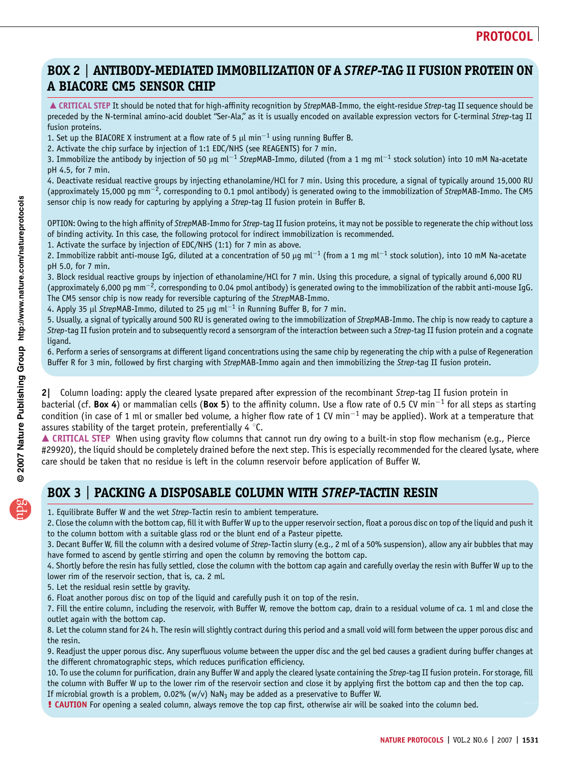### BOX 2 | ANTIBODY-MEDIATED IMMOBILIZATION OF A STREP-TAG II FUSION PROTEIN ON A BIACORE CM5 SENSOR CHIP

▲ CRITICAL STEP It should be noted that for high-affinity recognition by StrepMAB-Immo, the eight-residue Strep-tag II sequence should be preceded by the N-terminal amino-acid doublet "Ser-Ala," as it is usually encoded on available expression vectors for C-terminal Strep-tag II fusion proteins.

1. Set up the BIACORE X instrument at a flow rate of 5  $\mu$ l min $^{-1}$  using running Buffer B.

2. Activate the chip surface by injection of 1:1 EDC/NHS (see REAGENTS) for 7 min.

3. Immobilize the antibody by injection of 50 µg ml $^{-1}$  StrepMAB-Immo, diluted (from a 1 mg ml $^{-1}$  stock solution) into 10 mM Na-acetate pH 4.5, for 7 min.

4. Deactivate residual reactive groups by injecting ethanolamine/HCl for 7 min. Using this procedure, a signal of typically around 15,000 RU (approximately 15,000 pg mm<sup>-2</sup>, corresponding to 0.1 pmol antibody) is generated owing to the immobilization of StrepMAB-Immo. The CM5 sensor chip is now ready for capturing by applying a Strep-tag II fusion protein in Buffer B.

OPTION: Owing to the high affinity of StrepMAB-Immo for Strep-tag II fusion proteins, it may not be possible to regenerate the chip without loss of binding activity. In this case, the following protocol for indirect immobilization is recommended.

1. Activate the surface by injection of EDC/NHS (1:1) for 7 min as above.

2. Immobilize rabbit anti-mouse IgG, diluted at a concentration of 50  $\mu$ g ml $^{-1}$  (from a 1 mg ml $^{-1}$  stock solution), into 10 mM Na-acetate pH 5.0, for 7 min.

3. Block residual reactive groups by injection of ethanolamine/HCl for 7 min. Using this procedure, a signal of typically around 6,000 RU (approximately 6,000 pg mm<sup>-2</sup>, corresponding to 0.04 pmol antibody) is generated owing to the immobilization of the rabbit anti-mouse IgG. The CM5 sensor chip is now ready for reversible capturing of the StrepMAB-Immo.

4. Apply 35  $\mu$ l *Strep*MAB-Immo, diluted to 25  $\mu$ g ml $^{-1}$  in Running Buffer B, for 7 min.

5. Usually, a signal of typically around 500 RU is generated owing to the immobilization of StrepMAB-Immo. The chip is now ready to capture a Strep-tag II fusion protein and to subsequently record a sensorgram of the interaction between such a Strep-tag II fusion protein and a cognate ligand.

6. Perform a series of sensorgrams at different ligand concentrations using the same chip by regenerating the chip with a pulse of Regeneration Buffer R for 3 min, followed by first charging with StrepMAB-Immo again and then immobilizing the Strep-tag II fusion protein.

2| Column loading: apply the cleared lysate prepared after expression of the recombinant Strep-tag II fusion protein in bacterial (cf. Box 4) or mammalian cells (Box 5) to the affinity column. Use a flow rate of 0.5 CV min<sup>-1</sup> for all steps as starting condition (in case of 1 ml or smaller bed volume, a higher flow rate of 1 CV min<sup>-1</sup> may be applied). Work at a temperature that assures stability of the target protein, preferentially 4  $\degree$ C.

▲ CRITICAL STEP When using gravity flow columns that cannot run dry owing to a built-in stop flow mechanism (e.g., Pierce #29920), the liquid should be completely drained before the next step. This is especially recommended for the cleared lysate, where care should be taken that no residue is left in the column reservoir before application of Buffer W.

## BOX 3 | PACKING A DISPOSABLE COLUMN WITH STREP-TACTIN RESIN

1. Equilibrate Buffer W and the wet Strep-Tactin resin to ambient temperature.

- 2. Close the column with the bottom cap, fill it with Buffer W up to the upper reservoir section, float a porous disc on top of the liquid and push it to the column bottom with a suitable glass rod or the blunt end of a Pasteur pipette.
- 3. Decant Buffer W, fill the column with a desired volume of Strep-Tactin slurry (e.g., 2 ml of a 50% suspension), allow any air bubbles that may have formed to ascend by gentle stirring and open the column by removing the bottom cap.
- 4. Shortly before the resin has fully settled, close the column with the bottom cap again and carefully overlay the resin with Buffer W up to the lower rim of the reservoir section, that is, ca. 2 ml.
- 5. Let the residual resin settle by gravity.
- 6. Float another porous disc on top of the liquid and carefully push it on top of the resin.

7. Fill the entire column, including the reservoir, with Buffer W, remove the bottom cap, drain to a residual volume of ca. 1 ml and close the outlet again with the bottom cap.

8. Let the column stand for 24 h. The resin will slightly contract during this period and a small void will form between the upper porous disc and the resin.

9. Readjust the upper porous disc. Any superfluous volume between the upper disc and the gel bed causes a gradient during buffer changes at the different chromatographic steps, which reduces purification efficiency.

10. To use the column for purification, drain any Buffer W and apply the cleared lysate containing the Strep-tag II fusion protein. For storage, fill the column with Buffer W up to the lower rim of the reservoir section and close it by applying first the bottom cap and then the top cap. If microbial growth is a problem,  $0.02\%$  (w/v) NaN<sub>3</sub> may be added as a preservative to Buffer W.

*!* CAUTION For opening a sealed column, always remove the top cap first, otherwise air will be soaked into the column bed.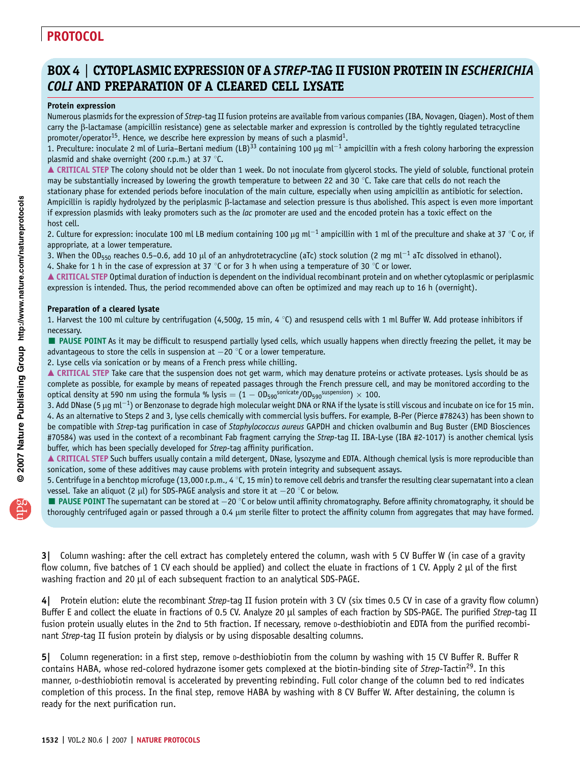## BOX 4 | CYTOPLASMIC EXPRESSION OF A STREP-TAG II FUSION PROTEIN IN ESCHERICHIA COLI AND PREPARATION OF A CLEARED CELL LYSATE

### Protein expression

Numerous plasmids for the expression of Strep-tag II fusion proteins are available from various companies (IBA, Novagen, Qiagen). Most of them carry the b-lactamase (ampicillin resistance) gene as selectable marker and expression is controlled by the tightly regulated tetracycline promoter/operator<sup>15</sup>. Hence, we describe here expression by means of such a plasmid<sup>1</sup>.

1. Preculture: inoculate 2 ml of Luria–Bertani medium (LB)<sup>33</sup> containing 100 µg ml<sup>-1</sup> ampicillin with a fresh colony harboring the expression plasmid and shake overnight (200 r.p.m.) at 37  $\degree$ C.

▲ CRITICAL STEP The colony should not be older than 1 week. Do not inoculate from glycerol stocks. The yield of soluble, functional protein may be substantially increased by lowering the growth temperature to between 22 and 30  $\degree$ C. Take care that cells do not reach the

stationary phase for extended periods before inoculation of the main culture, especially when using ampicillin as antibiotic for selection. Ampicillin is rapidly hydrolyzed by the periplasmic  $\beta$ -lactamase and selection pressure is thus abolished. This aspect is even more important if expression plasmids with leaky promoters such as the lac promoter are used and the encoded protein has a toxic effect on the host cell.

2. Culture for expression: inoculate 100 ml LB medium containing 100 µg ml $^{-1}$  ampicillin with 1 ml of the preculture and shake at 37 °C or, if appropriate, at a lower temperature.

3. When the OD<sub>550</sub> reaches 0.5–0.6, add 10  $\mu$ l of an anhydrotetracycline (aTc) stock solution (2 mg ml $^{-1}$  aTc dissolved in ethanol).

4. Shake for 1 h in the case of expression at 37 °C or for 3 h when using a temperature of 30 °C or lower.

▲ CRITICAL STEP Optimal duration of induction is dependent on the individual recombinant protein and on whether cytoplasmic or periplasmic expression is intended. Thus, the period recommended above can often be optimized and may reach up to 16 h (overnight).

### Preparation of a cleared lysate

1. Harvest the 100 ml culture by centrifugation (4,500g, 15 min, 4  $^{\circ}$ C) and resuspend cells with 1 ml Buffer W. Add protease inhibitors if necessary.

PAUSE POINT As it may be difficult to resuspend partially lysed cells, which usually happens when directly freezing the pellet, it may be advantageous to store the cells in suspension at  $-20$  °C or a lower temperature.

2. Lyse cells via sonication or by means of a French press while chilling.

▲ CRITICAL STEP Take care that the suspension does not get warm, which may denature proteins or activate proteases. Lysis should be as complete as possible, for example by means of repeated passages through the French pressure cell, and may be monitored according to the optical density at 590 nm using the formula % lysis  $=(1-00_{590}^\mathrm{sonicate}/00_{590}^\mathrm{suspension})\times$  100.

3. Add DNase (5 µg ml $^{-1}$ ) or Benzonase to degrade high molecular weight DNA or RNA if the lysate is still viscous and incubate on ice for 15 min. 4. As an alternative to Steps 2 and 3, lyse cells chemically with commercial lysis buffers. For example, B-Per (Pierce #78243) has been shown to be compatible with Strep-tag purification in case of Staphylococcus aureus GAPDH and chicken ovalbumin and Bug Buster (EMD Biosciences #70584) was used in the context of a recombinant Fab fragment carrying the Strep-tag II. IBA-Lyse (IBA #2-1017) is another chemical lysis buffer, which has been specially developed for Strep-tag affinity purification.

▲ CRITICAL STEP Such buffers usually contain a mild detergent, DNase, lysozyme and EDTA. Although chemical lysis is more reproducible than sonication, some of these additives may cause problems with protein integrity and subsequent assays.

5. Centrifuge in a benchtop microfuge (13,000 r.p.m., 4 °C, 15 min) to remove cell debris and transfer the resulting clear supernatant into a clean vessel. Take an aliquot (2  $\mu$ l) for SDS-PAGE analysis and store it at  $-$  20 °C or below.

**PAUSE POINT** The supernatant can be stored at  $-20$  °C or below until affinity chromatography. Before affinity chromatography, it should be thoroughly centrifuged again or passed through a 0.4 µm sterile filter to protect the affinity column from aggregates that may have formed.

3| Column washing: after the cell extract has completely entered the column, wash with 5 CV Buffer W (in case of a gravity flow column, five batches of 1 CV each should be applied) and collect the eluate in fractions of 1 CV. Apply 2  $\mu$ l of the first washing fraction and 20 µl of each subsequent fraction to an analytical SDS-PAGE.

4| Protein elution: elute the recombinant Strep-tag II fusion protein with 3 CV (six times 0.5 CV in case of a gravity flow column) Buffer E and collect the eluate in fractions of 0.5 CV. Analyze 20 µl samples of each fraction by SDS-PAGE. The purified Strep-tag II fusion protein usually elutes in the 2nd to 5th fraction. If necessary, remove p-desthiobiotin and EDTA from the purified recombinant Strep-tag II fusion protein by dialysis or by using disposable desalting columns.

5| Column regeneration: in a first step, remove p-desthiobiotin from the column by washing with 15 CV Buffer R. Buffer R contains HABA, whose red-colored hydrazone isomer gets complexed at the biotin-binding site of Strep-Tactin<sup>29</sup>. In this manner, p-desthiobiotin removal is accelerated by preventing rebinding. Full color change of the column bed to red indicates completion of this process. In the final step, remove HABA by washing with 8 CV Buffer W. After destaining, the column is ready for the next purification run.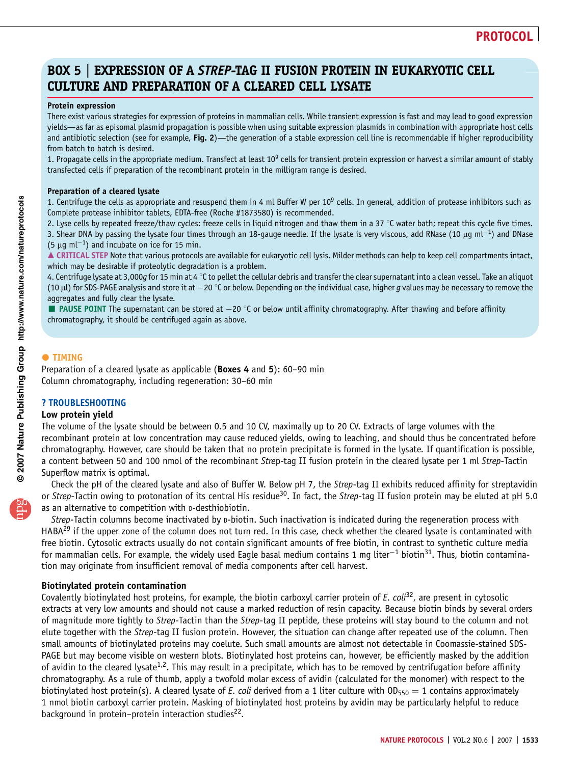## BOX 5 | EXPRESSION OF A STREP-TAG II FUSION PROTEIN IN EUKARYOTIC CELL CULTURE AND PREPARATION OF A CLEARED CELL LYSATE

#### Protein expression

There exist various strategies for expression of proteins in mammalian cells. While transient expression is fast and may lead to good expression yields—as far as episomal plasmid propagation is possible when using suitable expression plasmids in combination with appropriate host cells and antibiotic selection (see for example, Fig. 2)—the generation of a stable expression cell line is recommendable if higher reproducibility from batch to batch is desired.

1. Propagate cells in the appropriate medium. Transfect at least  $10^9$  cells for transient protein expression or harvest a similar amount of stably transfected cells if preparation of the recombinant protein in the milligram range is desired.

### Preparation of a cleared lysate

1. Centrifuge the cells as appropriate and resuspend them in 4 ml Buffer W per  $10^9$  cells. In general, addition of protease inhibitors such as Complete protease inhibitor tablets, EDTA-free (Roche #1873580) is recommended.

2. Lyse cells by repeated freeze/thaw cycles: freeze cells in liquid nitrogen and thaw them in a 37 °C water bath; repeat this cycle five times. 3. Shear DNA by passing the lysate four times through an 18-gauge needle. If the lysate is very viscous, add RNase (10  $\mu$ g ml $^{-1}$ ) and DNase (5  $\mu$ g ml<sup>-1</sup>) and incubate on ice for 15 min.

**A CRITICAL STEP** Note that various protocols are available for eukaryotic cell lysis. Milder methods can help to keep cell compartments intact, which may be desirable if proteolytic degradation is a problem.

4. Centrifuge lysate at 3,000g for 15 min at 4 °C to pellet the cellular debris and transfer the clear supernatant into a clean vessel. Take an aliquot (10  $\mu$ l) for SDS-PAGE analysis and store it at  $-20$  °C or below. Depending on the individual case, higher g values may be necessary to remove the aggregates and fully clear the lysate.

**PAUSE POINT** The supernatant can be stored at  $-20$  °C or below until affinity chromatography. After thawing and before affinity chromatography, it should be centrifuged again as above.

### **• TIMING**

Preparation of a cleared lysate as applicable (Boxes 4 and 5): 60–90 min Column chromatography, including regeneration: 30–60 min

### *?* TROUBLESHOOTING

#### Low protein yield

The volume of the lysate should be between 0.5 and 10 CV, maximally up to 20 CV. Extracts of large volumes with the recombinant protein at low concentration may cause reduced yields, owing to leaching, and should thus be concentrated before chromatography. However, care should be taken that no protein precipitate is formed in the lysate. If quantification is possible, a content between 50 and 100 nmol of the recombinant Strep-tag II fusion protein in the cleared lysate per 1 ml Strep-Tactin Superflow matrix is optimal.

Check the pH of the cleared lysate and also of Buffer W. Below pH 7, the Strep-taq II exhibits reduced affinity for streptavidin or Strep-Tactin owing to protonation of its central His residue<sup>30</sup>. In fact, the Strep-tag II fusion protein may be eluted at pH 5.0 as an alternative to competition with p-desthiobiotin.

Strep-Tactin columns become inactivated by p-biotin. Such inactivation is indicated during the regeneration process with HABA<sup>29</sup> if the upper zone of the column does not turn red. In this case, check whether the cleared lysate is contaminated with free biotin. Cytosolic extracts usually do not contain significant amounts of free biotin, in contrast to synthetic culture media for mammalian cells. For example, the widely used Eagle basal medium contains 1 mg liter $^{-1}$  biotin<sup>31</sup>. Thus, biotin contamination may originate from insufficient removal of media components after cell harvest.

### Biotinylated protein contamination

Covalently biotinylated host proteins, for example, the biotin carboxyl carrier protein of  $E.$   $coli<sup>32</sup>$ , are present in cytosolic extracts at very low amounts and should not cause a marked reduction of resin capacity. Because biotin binds by several orders of magnitude more tightly to Strep-Tactin than the Strep-tag II peptide, these proteins will stay bound to the column and not elute together with the Strep-tag II fusion protein. However, the situation can change after repeated use of the column. Then small amounts of biotinylated proteins may coelute. Such small amounts are almost not detectable in Coomassie-stained SDS-PAGE but may become visible on western blots. Biotinylated host proteins can, however, be efficiently masked by the addition of avidin to the cleared lysate<sup>1,2</sup>. This may result in a precipitate, which has to be removed by centrifugation before affinity chromatography. As a rule of thumb, apply a twofold molar excess of avidin (calculated for the monomer) with respect to the biotinylated host protein(s). A cleared lysate of E. coli derived from a 1 liter culture with  $OD_{550} = 1$  contains approximately 1 nmol biotin carboxyl carrier protein. Masking of biotinylated host proteins by avidin may be particularly helpful to reduce background in protein–protein interaction studies<sup>22</sup>.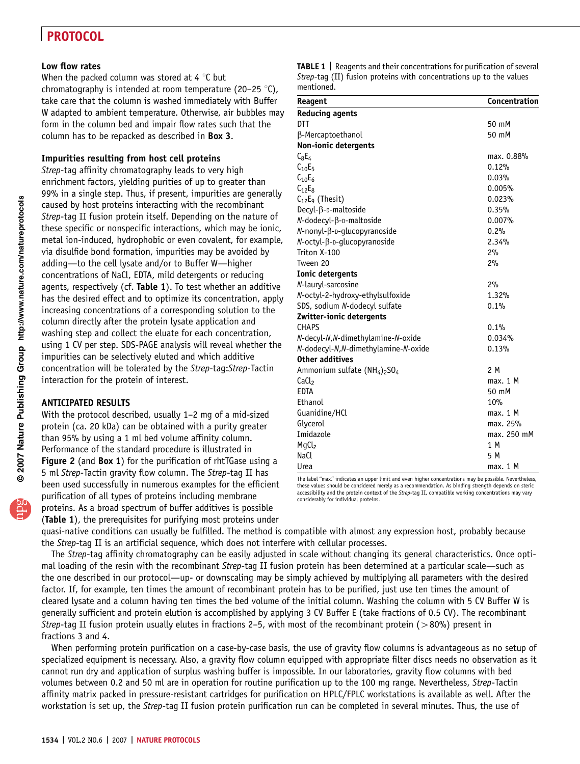### Low flow rates

When the packed column was stored at 4  $\degree$ C but chromatography is intended at room temperature (20–25  $\degree$ C), take care that the column is washed immediately with Buffer W adapted to ambient temperature. Otherwise, air bubbles may form in the column bed and impair flow rates such that the

### Impurities resulting from host cell proteins

column has to be repacked as described in Box 3.

Strep-tag affinity chromatography leads to very high enrichment factors, yielding purities of up to greater than 99% in a single step. Thus, if present, impurities are generally caused by host proteins interacting with the recombinant Strep-tag II fusion protein itself. Depending on the nature of these specific or nonspecific interactions, which may be ionic, metal ion-induced, hydrophobic or even covalent, for example, via disulfide bond formation, impurities may be avoided by adding—to the cell lysate and/or to Buffer W—higher concentrations of NaCl, EDTA, mild detergents or reducing agents, respectively (cf. Table 1). To test whether an additive has the desired effect and to optimize its concentration, apply increasing concentrations of a corresponding solution to the column directly after the protein lysate application and washing step and collect the eluate for each concentration, using 1 CV per step. SDS-PAGE analysis will reveal whether the impurities can be selectively eluted and which additive concentration will be tolerated by the Strep-tag:Strep-Tactin interaction for the protein of interest.

### ANTICIPATED RESULTS

With the protocol described, usually 1–2 mg of a mid-sized protein (ca. 20 kDa) can be obtained with a purity greater than 95% by using a 1 ml bed volume affinity column. Performance of the standard procedure is illustrated in Figure 2 (and Box 1) for the purification of rhtTGase using a 5 ml Strep-Tactin gravity flow column. The Strep-tag II has been used successfully in numerous examples for the efficient purification of all types of proteins including membrane proteins. As a broad spectrum of buffer additives is possible (Table 1), the prerequisites for purifying most proteins under

**TABLE 1** Reagents and their concentrations for purification of several Strep-tag (II) fusion proteins with concentrations up to the values mentioned.

| Reagent                                    | Concentration |
|--------------------------------------------|---------------|
| <b>Reducing agents</b>                     |               |
| <b>DTT</b>                                 | 50 mM         |
| β-Mercaptoethanol                          | 50 mM         |
| Non-ionic detergents                       |               |
| $C_8E_4$                                   | max. 0.88%    |
| $C_{10}E_5$                                | 0.12%         |
| $C_{10}E_6$                                | 0.03%         |
| $C_{12}E_{8}$                              | 0.005%        |
| $C_{12}E_9$ (Thesit)                       | 0.023%        |
| $Decyl-\beta$ - <sub>D</sub> -maltoside    | 0.35%         |
| $N$ -dodecyl- $\beta$ -p-maltoside         | 0.007%        |
| $N$ -nonyl- $\beta$ - $D$ -glucopyranoside | 0.2%          |
| $N$ -octyl- $\beta$ -p-glucopyranoside     | 2.34%         |
| Triton X-100                               | 2%            |
| Tween 20                                   | 2%            |
| Ionic detergents                           |               |
| N-lauryl-sarcosine                         | 2%            |
| N-octyl-2-hydroxy-ethylsulfoxide           | 1.32%         |
| SDS, sodium N-dodecyl sulfate              | 0.1%          |
| Zwitter-ionic detergents                   |               |
| <b>CHAPS</b>                               | 0.1%          |
| N-decyl-N,N-dimethylamine-N-oxide          | 0.034%        |
| N-dodecyl-N,N-dimethylamine-N-oxide        | 0.13%         |
| Other additives                            |               |
| Ammonium sulfate $(NH_4)_2SO_4$            | 2 M           |
| CaCl <sub>2</sub>                          | max. 1 M      |
| <b>EDTA</b>                                | 50 mM         |
| Ethanol                                    | 10%           |
| Guanidine/HCl                              | max. 1 M      |
| Glycerol                                   | max. 25%      |
| Imidazole                                  | max. 250 mM   |
| MqCl <sub>2</sub>                          | 1 M           |
| NaCL                                       | 5 M           |
| Urea                                       | max. 1 M      |

The label ''max.'' indicates an upper limit and even higher concentrations may be possible. Nevertheless, these values should be considered merely as a recommendation. As binding strength depends on steric accessibility and the protein context of the Strep-tag II, compatible working concentrations may vary considerably for individual proteins.

quasi-native conditions can usually be fulfilled. The method is compatible with almost any expression host, probably because the Strep-tag II is an artificial sequence, which does not interfere with cellular processes.

The Strep-tag affinity chromatography can be easily adjusted in scale without changing its general characteristics. Once optimal loading of the resin with the recombinant Strep-tag II fusion protein has been determined at a particular scale—such as the one described in our protocol—up- or downscaling may be simply achieved by multiplying all parameters with the desired factor. If, for example, ten times the amount of recombinant protein has to be purified, just use ten times the amount of cleared lysate and a column having ten times the bed volume of the initial column. Washing the column with 5 CV Buffer W is generally sufficient and protein elution is accomplished by applying 3 CV Buffer E (take fractions of 0.5 CV). The recombinant Strep-tag II fusion protein usually elutes in fractions 2–5, with most of the recombinant protein ( $>80\%$ ) present in fractions 3 and 4.

When performing protein purification on a case-by-case basis, the use of gravity flow columns is advantageous as no setup of specialized equipment is necessary. Also, a gravity flow column equipped with appropriate filter discs needs no observation as it cannot run dry and application of surplus washing buffer is impossible. In our laboratories, gravity flow columns with bed volumes between 0.2 and 50 ml are in operation for routine purification up to the 100 mg range. Nevertheless, Strep-Tactin affinity matrix packed in pressure-resistant cartridges for purification on HPLC/FPLC workstations is available as well. After the workstation is set up, the Strep-tag II fusion protein purification run can be completed in several minutes. Thus, the use of